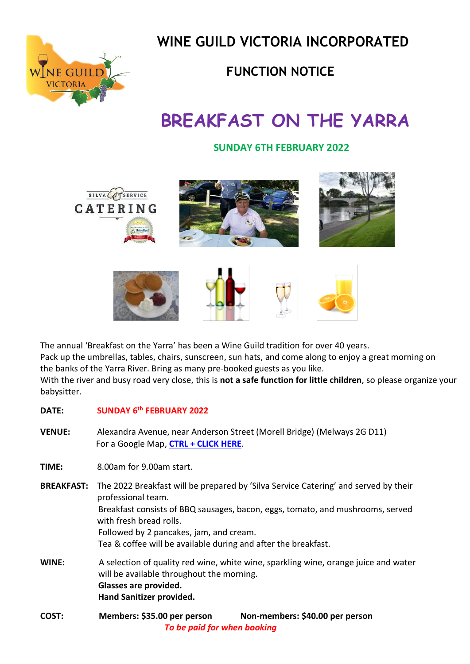

 **WINE GUILD VICTORIA INCORPORATED**

### **FUNCTION NOTICE**

# **BREAKFAST ON THE YARRA**

#### **SUNDAY 6TH FEBRUARY 2022**



The annual 'Breakfast on the Yarra' has been a Wine Guild tradition for over 40 years. Pack up the umbrellas, tables, chairs, sunscreen, sun hats, and come along to enjoy a great morning on the banks of the Yarra River. Bring as many pre-booked guests as you like. With the river and busy road very close, this is **not a safe function for little children**, so please organize your babysitter.

#### **DATE: SUNDAY 6 th FEBRUARY 2022**

**VENUE:** Alexandra Avenue, near Anderson Street (Morell Bridge) (Melways 2G D11) For a Google Map, **[CTRL + CLICK HERE](https://goo.gl/maps/smVM9rde37vwoatK7)**.

**TIME:** 8.00am for 9.00am start.

- **BREAKFAST:** The 2022 Breakfast will be prepared by 'Silva Service Catering' and served by their professional team. Breakfast consists of BBQ sausages, bacon, eggs, tomato, and mushrooms, served with fresh bread rolls. Followed by 2 pancakes, jam, and cream. Tea & coffee will be available during and after the breakfast. **WINE:** A selection of quality red wine, white wine, sparkling wine, orange juice and water
- will be available throughout the morning. **Glasses are provided. Hand Sanitizer provided.**
- **COST: Members: \$35.00 per person Non-members: \$40.00 per person**  *To be paid for when booking*